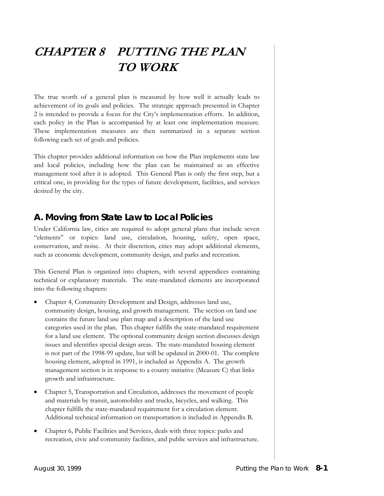# **CHAPTER 8 PUTTING THE PLAN TO WORK**

The true worth of a general plan is measured by how well it actually leads to achievement of its goals and policies. The strategic approach presented in Chapter 2 is intended to provide a focus for the City's implementation efforts. In addition, each policy in the Plan is accompanied by at least one implementation measure. These implementation measures are then summarized in a separate section following each set of goals and policies.

This chapter provides additional information on how the Plan implements state law and local policies, including how the plan can be maintained as an effective management tool after it is adopted. This General Plan is only the first step, but a critical one, in providing for the types of future development, facilities, and services desired by the city.

# **A. Moving from State Law to Local Policies**

Under California law, cities are required to adopt general plans that include seven "elements" or topics: land use, circulation, housing, safety, open space, conservation, and noise. At their discretion, cities may adopt additional elements, such as economic development, community design, and parks and recreation.

This General Plan is organized into chapters, with several appendices containing technical or explanatory materials. The state-mandated elements are incorporated into the following chapters:

- Chapter 4, Community Development and Design, addresses land use, community design, housing, and growth management. The section on land use contains the future land use plan map and a description of the land use categories used in the plan. This chapter fulfills the state-mandated requirement for a land use element. The optional community design section discusses design issues and identifies special design areas. The state-mandated housing element is not part of the 1998-99 update, but will be updated in 2000-01. The complete housing element, adopted in 1991, is included as Appendix A. The growth management section is in response to a county initiative (Measure C) that links growth and infrastructure.
- Chapter 5, Transportation and Circulation, addresses the movement of people and materials by transit, automobiles and trucks, bicycles, and walking. This chapter fulfills the state-mandated requirement for a circulation element. Additional technical information on transportation is included in Appendix B.
- Chapter 6, Public Facilities and Services, deals with three topics: parks and recreation, civic and community facilities, and public services and infrastructure.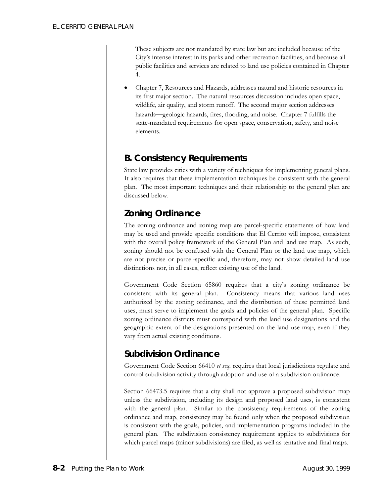These subjects are not mandated by state law but are included because of the City's intense interest in its parks and other recreation facilities, and because all public facilities and services are related to land use policies contained in Chapter 4.

• Chapter 7, Resources and Hazards, addresses natural and historic resources in its first major section. The natural resources discussion includes open space, wildlife, air quality, and storm runoff. The second major section addresses hazards—geologic hazards, fires, flooding, and noise. Chapter 7 fulfills the state-mandated requirements for open space, conservation, safety, and noise elements.

#### **B. Consistency Requirements**

State law provides cities with a variety of techniques for implementing general plans. It also requires that these implementation techniques be consistent with the general plan. The most important techniques and their relationship to the general plan are discussed below.

# *Zoning Ordinance*

The zoning ordinance and zoning map are parcel-specific statements of how land may be used and provide specific conditions that El Cerrito will impose, consistent with the overall policy framework of the General Plan and land use map. As such, zoning should not be confused with the General Plan or the land use map, which are not precise or parcel-specific and, therefore, may not show detailed land use distinctions nor, in all cases, reflect existing use of the land.

Government Code Section 65860 requires that a city's zoning ordinance be consistent with its general plan. Consistency means that various land uses authorized by the zoning ordinance, and the distribution of these permitted land uses, must serve to implement the goals and policies of the general plan. Specific zoning ordinance districts must correspond with the land use designations and the geographic extent of the designations presented on the land use map, even if they vary from actual existing conditions.

#### *Subdivision Ordinance*

Government Code Section 66410 *et seq.* requires that local jurisdictions regulate and control subdivision activity through adoption and use of a subdivision ordinance.

Section 66473.5 requires that a city shall not approve a proposed subdivision map unless the subdivision, including its design and proposed land uses, is consistent with the general plan. Similar to the consistency requirements of the zoning ordinance and map, consistency may be found only when the proposed subdivision is consistent with the goals, policies, and implementation programs included in the general plan. The subdivision consistency requirement applies to subdivisions for which parcel maps (minor subdivisions) are filed, as well as tentative and final maps.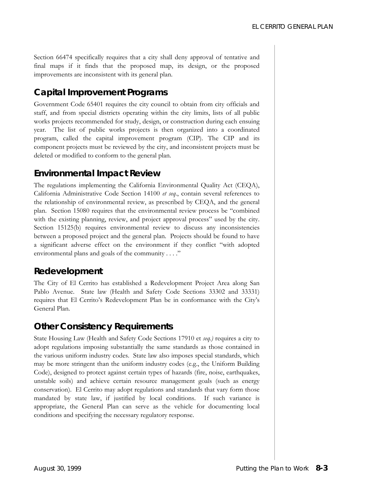Section 66474 specifically requires that a city shall deny approval of tentative and final maps if it finds that the proposed map, its design, or the proposed improvements are inconsistent with its general plan.

#### *Capital Improvement Programs*

Government Code 65401 requires the city council to obtain from city officials and staff, and from special districts operating within the city limits, lists of all public works projects recommended for study, design, or construction during each ensuing year. The list of public works projects is then organized into a coordinated program, called the capital improvement program (CIP). The CIP and its component projects must be reviewed by the city, and inconsistent projects must be deleted or modified to conform to the general plan.

#### *Environmental Impact Review*

The regulations implementing the California Environmental Quality Act (CEQA), California Administrative Code Section 14100 *et seq*., contain several references to the relationship of environmental review, as prescribed by CEQA, and the general plan. Section 15080 requires that the environmental review process be "combined with the existing planning, review, and project approval process" used by the city. Section 15125(b) requires environmental review to discuss any inconsistencies between a proposed project and the general plan. Projects should be found to have a significant adverse effect on the environment if they conflict "with adopted environmental plans and goals of the community . . . ."

#### *Redevelopment*

The City of El Cerrito has established a Redevelopment Project Area along San Pablo Avenue. State law (Health and Safety Code Sections 33302 and 33331) requires that El Cerrito's Redevelopment Plan be in conformance with the City's General Plan.

#### *Other Consistency Requirements*

State Housing Law (Health and Safety Code Sections 17910 et *seq.)* requires a city to adopt regulations imposing substantially the same standards as those contained in the various uniform industry codes. State law also imposes special standards, which may be more stringent than the uniform industry codes (e.g., the Uniform Building Code), designed to protect against certain types of hazards (fire, noise, earthquakes, unstable soils) and achieve certain resource management goals (such as energy conservation). El Cerrito may adopt regulations and standards that vary form those mandated by state law, if justified by local conditions. If such variance is appropriate, the General Plan can serve as the vehicle for documenting local conditions and specifying the necessary regulatory response.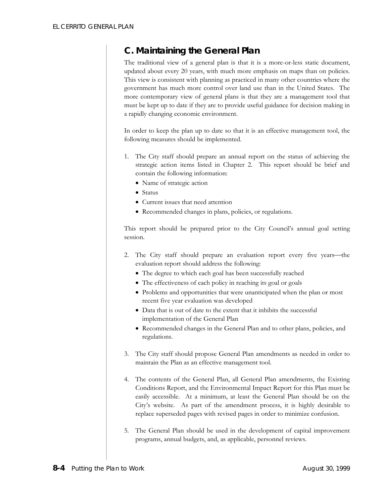### **C. Maintaining the General Plan**

The traditional view of a general plan is that it is a more-or-less static document, updated about every 20 years, with much more emphasis on maps than on policies. This view is consistent with planning as practiced in many other countries where the government has much more control over land use than in the United States. The more contemporary view of general plans is that they are a management tool that must be kept up to date if they are to provide useful guidance for decision making in a rapidly changing economic environment.

In order to keep the plan up to date so that it is an effective management tool, the following measures should be implemented.

- 1. The City staff should prepare an annual report on the status of achieving the strategic action items listed in Chapter 2. This report should be brief and contain the following information:
	- Name of strategic action
	- Status
	- Current issues that need attention
	- Recommended changes in plans, policies, or regulations.

This report should be prepared prior to the City Council's annual goal setting session.

- 2. The City staff should prepare an evaluation report every five years—the evaluation report should address the following:
	- The degree to which each goal has been successfully reached
	- The effectiveness of each policy in reaching its goal or goals
	- Problems and opportunities that were unanticipated when the plan or most recent five year evaluation was developed
	- Data that is out of date to the extent that it inhibits the successful implementation of the General Plan
	- Recommended changes in the General Plan and to other plans, policies, and regulations.
- 3. The City staff should propose General Plan amendments as needed in order to maintain the Plan as an effective management tool.
- 4. The contents of the General Plan, all General Plan amendments, the Existing Conditions Report, and the Environmental Impact Report for this Plan must be easily accessible. At a minimum, at least the General Plan should be on the City's website. As part of the amendment process, it is highly desirable to replace superseded pages with revised pages in order to minimize confusion.
- 5. The General Plan should be used in the development of capital improvement programs, annual budgets, and, as applicable, personnel reviews.